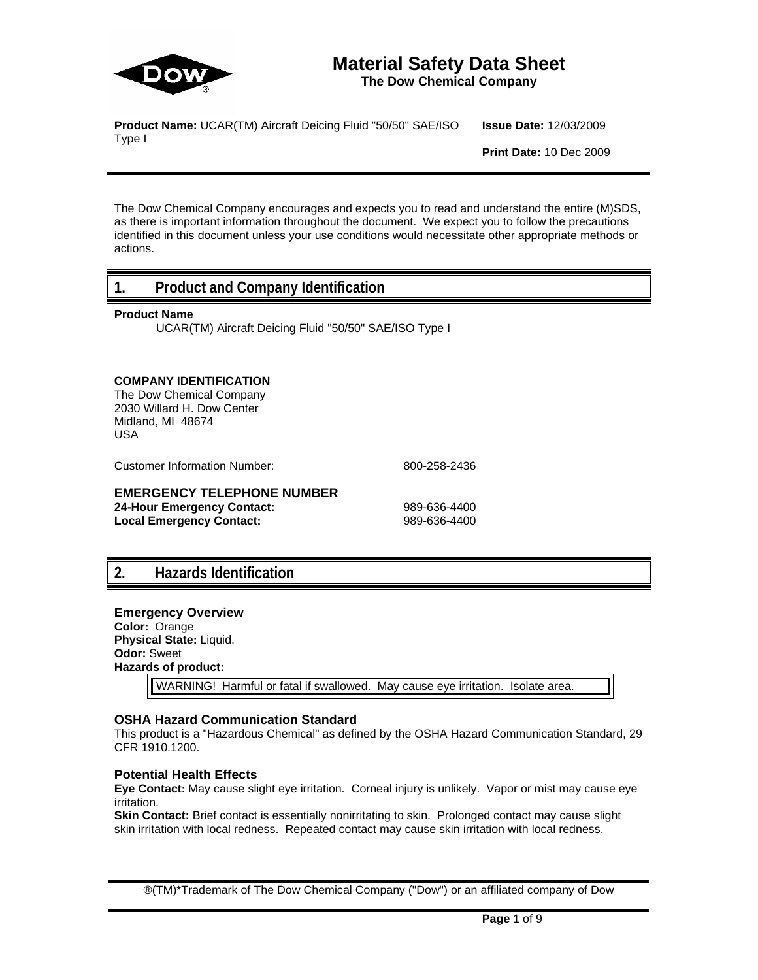

# **Material Safety Data Sheet**

**The Dow Chemical Company**

**Product Name:** UCAR(TM) Aircraft Deicing Fluid "50/50" SAE/ISO Type I

**Issue Date:** 12/03/2009

**Print Date:** 10 Dec 2009

The Dow Chemical Company encourages and expects you to read and understand the entire (M)SDS, as there is important information throughout the document. We expect you to follow the precautions identified in this document unless your use conditions would necessitate other appropriate methods or actions.

### **1. Product and Company Identification**

#### **Product Name**

UCAR(TM) Aircraft Deicing Fluid "50/50" SAE/ISO Type I

### **COMPANY IDENTIFICATION**

The Dow Chemical Company 2030 Willard H. Dow Center Midland, MI 48674 USA

Customer Information Number: 800-258-2436

### **EMERGENCY TELEPHONE NUMBER**

**24-Hour Emergency Contact:** 989-636-4400 Local Emergency Contact: 989-636-4400

# **2. Hazards Identification**

### **Emergency Overview Color:** Orange

**Physical State:** Liquid. **Odor:** Sweet **Hazards of product:**

WARNING! Harmful or fatal if swallowed. May cause eye irritation. Isolate area.

### **OSHA Hazard Communication Standard**

This product is a "Hazardous Chemical" as defined by the OSHA Hazard Communication Standard, 29 CFR 1910.1200.

### **Potential Health Effects**

**Eye Contact:** May cause slight eye irritation. Corneal injury is unlikely. Vapor or mist may cause eye irritation.

**Skin Contact:** Brief contact is essentially nonirritating to skin. Prolonged contact may cause slight skin irritation with local redness. Repeated contact may cause skin irritation with local redness.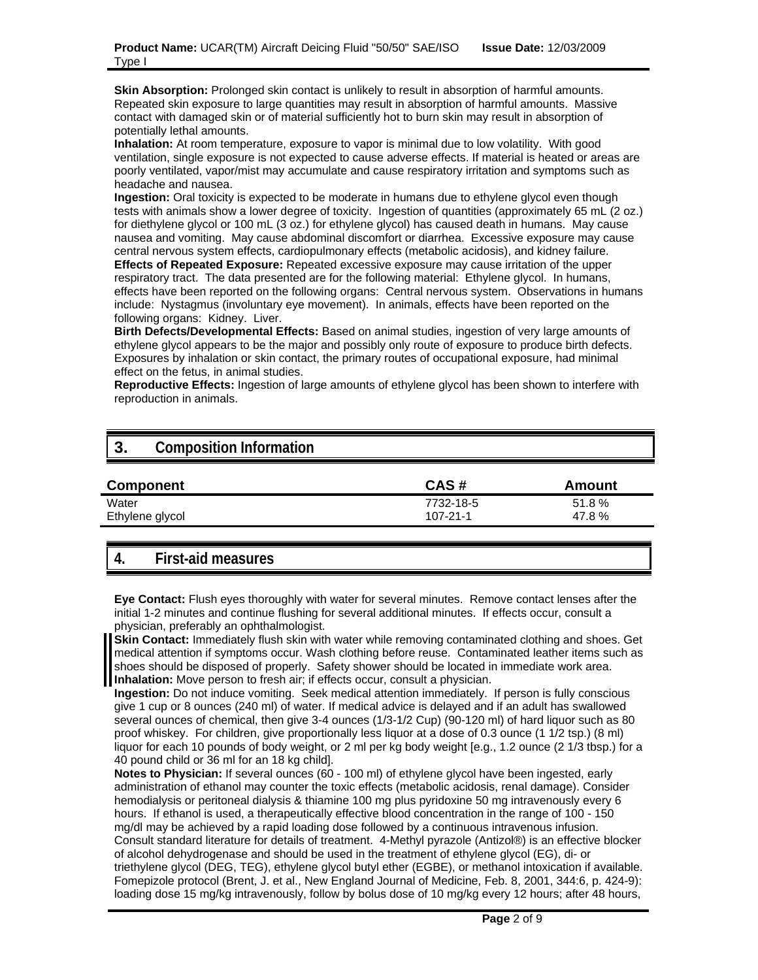**Skin Absorption:** Prolonged skin contact is unlikely to result in absorption of harmful amounts. Repeated skin exposure to large quantities may result in absorption of harmful amounts. Massive contact with damaged skin or of material sufficiently hot to burn skin may result in absorption of potentially lethal amounts.

**Inhalation:** At room temperature, exposure to vapor is minimal due to low volatility. With good ventilation, single exposure is not expected to cause adverse effects. If material is heated or areas are poorly ventilated, vapor/mist may accumulate and cause respiratory irritation and symptoms such as headache and nausea.

**Ingestion:** Oral toxicity is expected to be moderate in humans due to ethylene glycol even though tests with animals show a lower degree of toxicity. Ingestion of quantities (approximately 65 mL (2 oz.) for diethylene glycol or 100 mL (3 oz.) for ethylene glycol) has caused death in humans. May cause nausea and vomiting. May cause abdominal discomfort or diarrhea. Excessive exposure may cause central nervous system effects, cardiopulmonary effects (metabolic acidosis), and kidney failure. **Effects of Repeated Exposure:** Repeated excessive exposure may cause irritation of the upper respiratory tract. The data presented are for the following material: Ethylene glycol. In humans, effects have been reported on the following organs: Central nervous system. Observations in humans include: Nystagmus (involuntary eye movement). In animals, effects have been reported on the following organs: Kidney. Liver.

**Birth Defects/Developmental Effects:** Based on animal studies, ingestion of very large amounts of ethylene glycol appears to be the major and possibly only route of exposure to produce birth defects. Exposures by inhalation or skin contact, the primary routes of occupational exposure, had minimal effect on the fetus, in animal studies.

**Reproductive Effects:** Ingestion of large amounts of ethylene glycol has been shown to interfere with reproduction in animals.

# **3. Composition Information**

| <b>Component</b> | CAS#      | Amount |
|------------------|-----------|--------|
| Water            | 7732-18-5 | 51.8%  |
| Ethylene glycol  | 107-21-1  | 47.8%  |

# **4. First-aid measures**

**Eye Contact:** Flush eyes thoroughly with water for several minutes. Remove contact lenses after the initial 1-2 minutes and continue flushing for several additional minutes. If effects occur, consult a physician, preferably an ophthalmologist.

**Skin Contact:** Immediately flush skin with water while removing contaminated clothing and shoes. Get medical attention if symptoms occur. Wash clothing before reuse. Contaminated leather items such as shoes should be disposed of properly. Safety shower should be located in immediate work area. **Inhalation:** Move person to fresh air; if effects occur, consult a physician.

**Ingestion:** Do not induce vomiting. Seek medical attention immediately. If person is fully conscious give 1 cup or 8 ounces (240 ml) of water. If medical advice is delayed and if an adult has swallowed several ounces of chemical, then give 3-4 ounces (1/3-1/2 Cup) (90-120 ml) of hard liquor such as 80 proof whiskey. For children, give proportionally less liquor at a dose of 0.3 ounce (1 1/2 tsp.) (8 ml) liquor for each 10 pounds of body weight, or 2 ml per kg body weight [e.g., 1.2 ounce (2 1/3 tbsp.) for a 40 pound child or 36 ml for an 18 kg child].

**Notes to Physician:** If several ounces (60 - 100 ml) of ethylene glycol have been ingested, early administration of ethanol may counter the toxic effects (metabolic acidosis, renal damage). Consider hemodialysis or peritoneal dialysis & thiamine 100 mg plus pyridoxine 50 mg intravenously every 6 hours. If ethanol is used, a therapeutically effective blood concentration in the range of 100 - 150 mg/dl may be achieved by a rapid loading dose followed by a continuous intravenous infusion. Consult standard literature for details of treatment. 4-Methyl pyrazole (Antizol®) is an effective blocker of alcohol dehydrogenase and should be used in the treatment of ethylene glycol (EG), di- or triethylene glycol (DEG, TEG), ethylene glycol butyl ether (EGBE), or methanol intoxication if available. Fomepizole protocol (Brent, J. et al., New England Journal of Medicine, Feb. 8, 2001, 344:6, p. 424-9): loading dose 15 mg/kg intravenously, follow by bolus dose of 10 mg/kg every 12 hours; after 48 hours,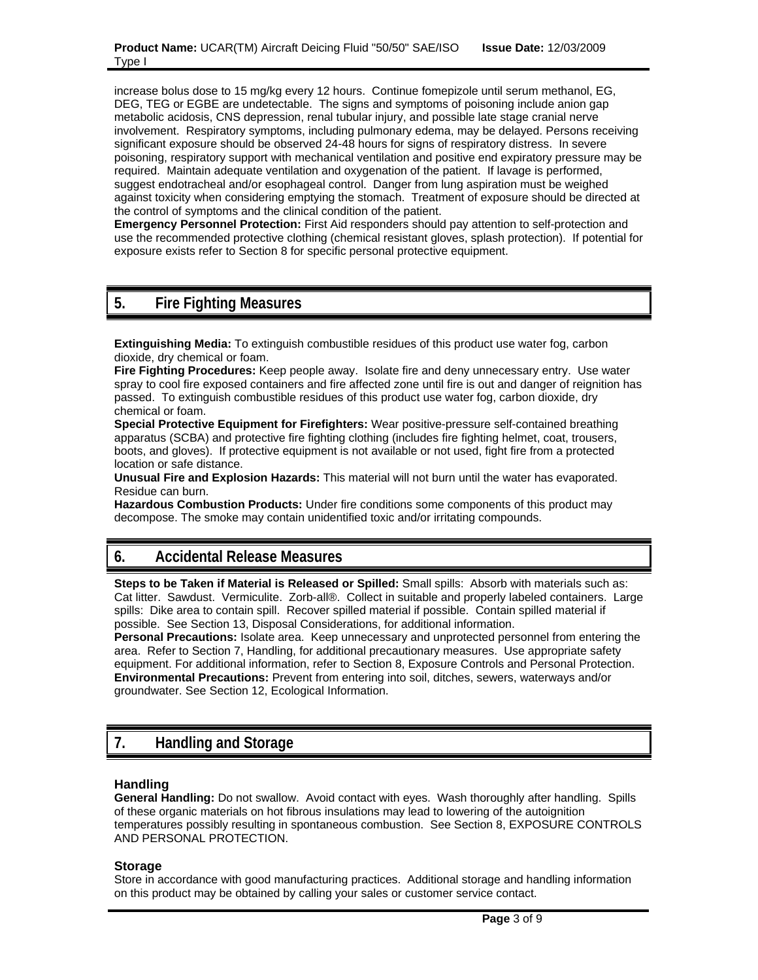increase bolus dose to 15 mg/kg every 12 hours. Continue fomepizole until serum methanol, EG, DEG, TEG or EGBE are undetectable. The signs and symptoms of poisoning include anion gap metabolic acidosis, CNS depression, renal tubular injury, and possible late stage cranial nerve involvement. Respiratory symptoms, including pulmonary edema, may be delayed. Persons receiving significant exposure should be observed 24-48 hours for signs of respiratory distress. In severe poisoning, respiratory support with mechanical ventilation and positive end expiratory pressure may be required. Maintain adequate ventilation and oxygenation of the patient. If lavage is performed, suggest endotracheal and/or esophageal control. Danger from lung aspiration must be weighed against toxicity when considering emptying the stomach. Treatment of exposure should be directed at the control of symptoms and the clinical condition of the patient.

**Emergency Personnel Protection:** First Aid responders should pay attention to self-protection and use the recommended protective clothing (chemical resistant gloves, splash protection). If potential for exposure exists refer to Section 8 for specific personal protective equipment.

### **5. Fire Fighting Measures**

**Extinguishing Media:** To extinguish combustible residues of this product use water fog, carbon dioxide, dry chemical or foam.

**Fire Fighting Procedures:** Keep people away. Isolate fire and deny unnecessary entry. Use water spray to cool fire exposed containers and fire affected zone until fire is out and danger of reignition has passed. To extinguish combustible residues of this product use water fog, carbon dioxide, dry chemical or foam.

**Special Protective Equipment for Firefighters:** Wear positive-pressure self-contained breathing apparatus (SCBA) and protective fire fighting clothing (includes fire fighting helmet, coat, trousers, boots, and gloves). If protective equipment is not available or not used, fight fire from a protected location or safe distance.

**Unusual Fire and Explosion Hazards:** This material will not burn until the water has evaporated. Residue can burn.

**Hazardous Combustion Products:** Under fire conditions some components of this product may decompose. The smoke may contain unidentified toxic and/or irritating compounds.

# **6. Accidental Release Measures**

**Steps to be Taken if Material is Released or Spilled:** Small spills: Absorb with materials such as: Cat litter. Sawdust. Vermiculite. Zorb-all®. Collect in suitable and properly labeled containers. Large spills: Dike area to contain spill. Recover spilled material if possible. Contain spilled material if possible. See Section 13, Disposal Considerations, for additional information.

**Personal Precautions:** Isolate area. Keep unnecessary and unprotected personnel from entering the area. Refer to Section 7, Handling, for additional precautionary measures. Use appropriate safety equipment. For additional information, refer to Section 8, Exposure Controls and Personal Protection. **Environmental Precautions:** Prevent from entering into soil, ditches, sewers, waterways and/or groundwater. See Section 12, Ecological Information.

# **7. Handling and Storage**

#### **Handling**

**General Handling:** Do not swallow. Avoid contact with eyes. Wash thoroughly after handling. Spills of these organic materials on hot fibrous insulations may lead to lowering of the autoignition temperatures possibly resulting in spontaneous combustion. See Section 8, EXPOSURE CONTROLS AND PERSONAL PROTECTION.

#### **Storage**

Store in accordance with good manufacturing practices. Additional storage and handling information on this product may be obtained by calling your sales or customer service contact.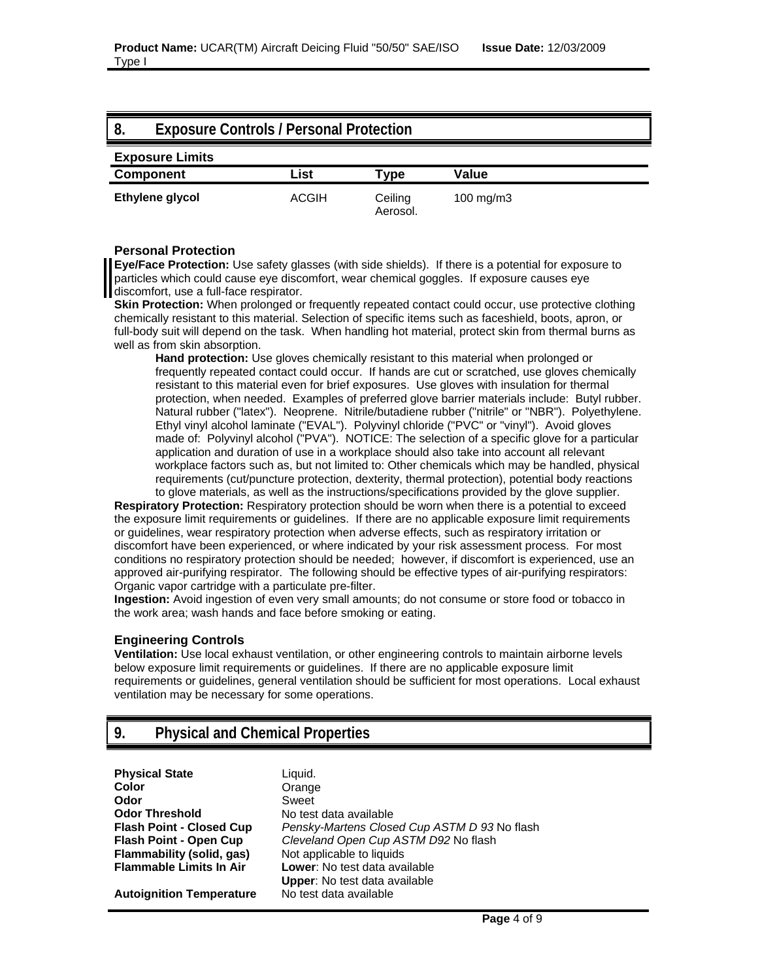| -8. | <b>Exposure Controls / Personal Protection</b> |              |                     |              |
|-----|------------------------------------------------|--------------|---------------------|--------------|
|     | <b>Exposure Limits</b>                         |              |                     |              |
|     | <b>Component</b>                               | List         | Tvpe                | Value        |
|     | Ethylene glycol                                | <b>ACGIH</b> | Ceiling<br>Aerosol. | 100 mg/m $3$ |

#### **Personal Protection**

**Eye/Face Protection:** Use safety glasses (with side shields). If there is a potential for exposure to particles which could cause eye discomfort, wear chemical goggles. If exposure causes eye discomfort, use a full-face respirator.

**Skin Protection:** When prolonged or frequently repeated contact could occur, use protective clothing chemically resistant to this material. Selection of specific items such as faceshield, boots, apron, or full-body suit will depend on the task. When handling hot material, protect skin from thermal burns as well as from skin absorption.

**Hand protection:** Use gloves chemically resistant to this material when prolonged or frequently repeated contact could occur. If hands are cut or scratched, use gloves chemically resistant to this material even for brief exposures. Use gloves with insulation for thermal protection, when needed. Examples of preferred glove barrier materials include: Butyl rubber. Natural rubber ("latex"). Neoprene. Nitrile/butadiene rubber ("nitrile" or "NBR"). Polyethylene. Ethyl vinyl alcohol laminate ("EVAL"). Polyvinyl chloride ("PVC" or "vinyl"). Avoid gloves made of: Polyvinyl alcohol ("PVA"). NOTICE: The selection of a specific glove for a particular application and duration of use in a workplace should also take into account all relevant workplace factors such as, but not limited to: Other chemicals which may be handled, physical requirements (cut/puncture protection, dexterity, thermal protection), potential body reactions to glove materials, as well as the instructions/specifications provided by the glove supplier.

**Respiratory Protection:** Respiratory protection should be worn when there is a potential to exceed the exposure limit requirements or guidelines. If there are no applicable exposure limit requirements or guidelines, wear respiratory protection when adverse effects, such as respiratory irritation or discomfort have been experienced, or where indicated by your risk assessment process. For most conditions no respiratory protection should be needed; however, if discomfort is experienced, use an approved air-purifying respirator. The following should be effective types of air-purifying respirators: Organic vapor cartridge with a particulate pre-filter.

**Ingestion:** Avoid ingestion of even very small amounts; do not consume or store food or tobacco in the work area; wash hands and face before smoking or eating.

#### **Engineering Controls**

**Ventilation:** Use local exhaust ventilation, or other engineering controls to maintain airborne levels below exposure limit requirements or guidelines. If there are no applicable exposure limit requirements or guidelines, general ventilation should be sufficient for most operations. Local exhaust ventilation may be necessary for some operations.

# **9. Physical and Chemical Properties**

**Physical State** Liquid. **Color** Orange **Odor** Sweet **Odor Threshold** No test data available **Flammability (solid, gas)** Not applicable to liquids<br>**Flammable Limits In Air Lower:** No test data ava

**Autoignition Temperature** No test data available

**Flash Point - Closed Cup** *Pensky-Martens Closed Cup ASTM D 93* No flash **Flash Point - Open Cup** *Cleveland Open Cup ASTM D92* No flash **Lower**: No test data available **Upper**: No test data available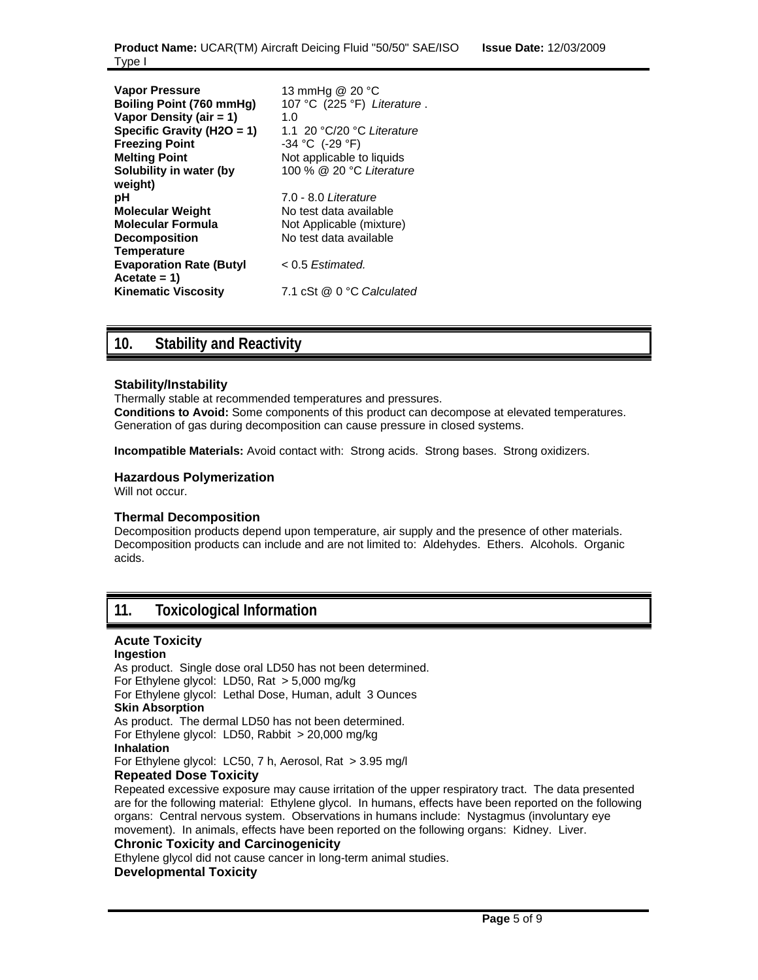| <b>Vapor Pressure</b><br>Boiling Point (760 mmHg)<br>Vapor Density (air = 1)<br>Specific Gravity (H2O = 1)<br><b>Freezing Point</b><br><b>Melting Point</b><br>Solubility in water (by<br>weight)<br>рH<br><b>Molecular Weight</b><br><b>Molecular Formula</b><br><b>Decomposition</b> | 13 mmHg @ 20 °C<br>107 °C (225 °F) Literature.<br>1. $\Omega$<br>1.1 20 $\degree$ C/20 $\degree$ C Literature<br>$-34$ °C (-29 °F)<br>Not applicable to liquids<br>100 % @ 20 °C Literature<br>7.0 - 8.0 <i>Literature</i><br>No test data available<br>Not Applicable (mixture)<br>No test data available |
|----------------------------------------------------------------------------------------------------------------------------------------------------------------------------------------------------------------------------------------------------------------------------------------|------------------------------------------------------------------------------------------------------------------------------------------------------------------------------------------------------------------------------------------------------------------------------------------------------------|
| <b>Temperature</b>                                                                                                                                                                                                                                                                     |                                                                                                                                                                                                                                                                                                            |
| <b>Evaporation Rate (Butyl</b><br>$Accetate = 1$                                                                                                                                                                                                                                       | $< 0.5$ Estimated.                                                                                                                                                                                                                                                                                         |
| <b>Kinematic Viscosity</b>                                                                                                                                                                                                                                                             | 7.1 cSt @ 0 °C Calculated                                                                                                                                                                                                                                                                                  |

# **10. Stability and Reactivity**

### **Stability/Instability**

Thermally stable at recommended temperatures and pressures. **Conditions to Avoid:** Some components of this product can decompose at elevated temperatures. Generation of gas during decomposition can cause pressure in closed systems.

**Incompatible Materials:** Avoid contact with: Strong acids. Strong bases. Strong oxidizers.

#### **Hazardous Polymerization**

Will not occur.

#### **Thermal Decomposition**

Decomposition products depend upon temperature, air supply and the presence of other materials. Decomposition products can include and are not limited to: Aldehydes. Ethers. Alcohols. Organic acids.

### **11. Toxicological Information**

### **Acute Toxicity**

#### **Ingestion**

As product. Single dose oral LD50 has not been determined. For Ethylene glycol: LD50, Rat > 5,000 mg/kg For Ethylene glycol: Lethal Dose, Human, adult 3 Ounces **Skin Absorption**  As product. The dermal LD50 has not been determined. For Ethylene glycol: LD50, Rabbit > 20,000 mg/kg **Inhalation**  For Ethylene glycol: LC50, 7 h, Aerosol, Rat > 3.95 mg/l **Repeated Dose Toxicity**

Repeated excessive exposure may cause irritation of the upper respiratory tract. The data presented are for the following material: Ethylene glycol. In humans, effects have been reported on the following organs: Central nervous system. Observations in humans include: Nystagmus (involuntary eye movement). In animals, effects have been reported on the following organs: Kidney. Liver.

#### **Chronic Toxicity and Carcinogenicity**

Ethylene glycol did not cause cancer in long-term animal studies. **Developmental Toxicity**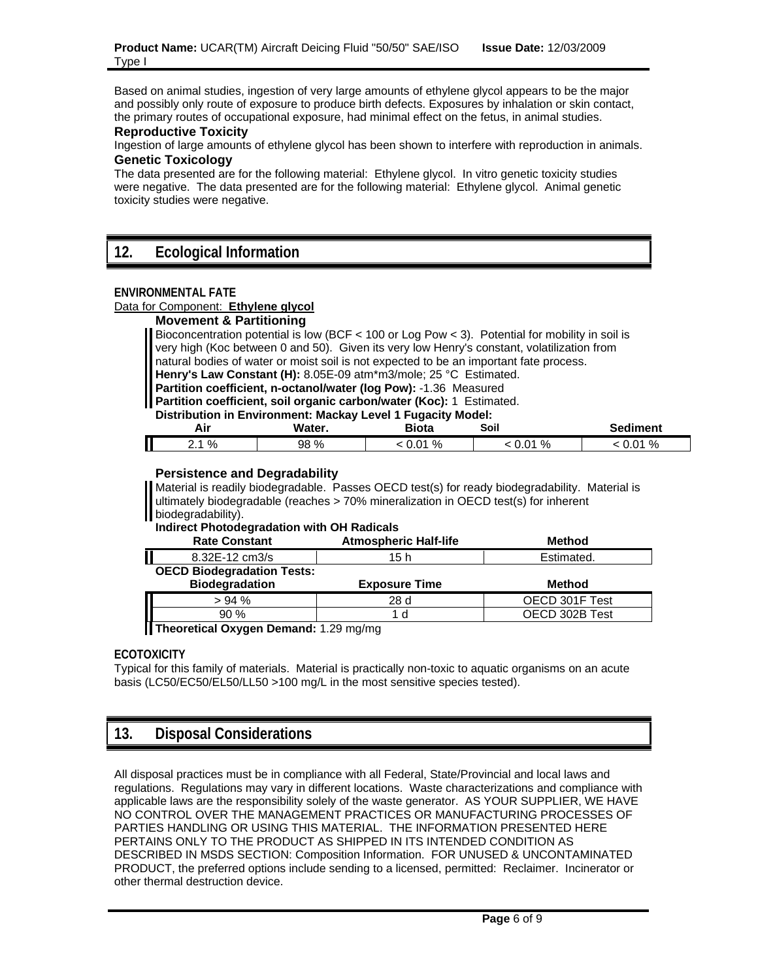Based on animal studies, ingestion of very large amounts of ethylene glycol appears to be the major and possibly only route of exposure to produce birth defects. Exposures by inhalation or skin contact, the primary routes of occupational exposure, had minimal effect on the fetus, in animal studies.

#### **Reproductive Toxicity**

Ingestion of large amounts of ethylene glycol has been shown to interfere with reproduction in animals. **Genetic Toxicology**

The data presented are for the following material: Ethylene glycol. In vitro genetic toxicity studies were negative. The data presented are for the following material: Ethylene glycol. Animal genetic toxicity studies were negative.

### **12. Ecological Information**

#### **ENVIRONMENTAL FATE**

#### Data for Component: **Ethylene glycol**

### **Movement & Partitioning**

Bioconcentration potential is low (BCF < 100 or Log Pow < 3). Potential for mobility in soil is very high (Koc between 0 and 50). Given its very low Henry's constant, volatilization from natural bodies of water or moist soil is not expected to be an important fate process. **Henry's Law Constant (H):** 8.05E-09 atm\*m3/mole; 25 °C Estimated. **Partition coefficient, n-octanol/water (log Pow):** -1.36 Measured

**Partition coefficient, soil organic carbon/water (Koc):** 1 Estimated.

#### **Distribution in Environment: Mackay Level 1 Fugacity Model:**

| Air             | Water. | --<br>Biota | Soil        | Sediment |
|-----------------|--------|-------------|-------------|----------|
| 2.1%<br><u></u> | 98 %   | 01 %<br>v.v | .01%<br>v.v | .01%     |

#### **Persistence and Degradability**

Material is readily biodegradable. Passes OECD test(s) for ready biodegradability. Material is ultimately biodegradable (reaches > 70% mineralization in OECD test(s) for inherent biodegradability).

**Indirect Photodegradation with OH Radicals**

| <b>Rate Constant</b>                                       | <b>Atmospheric Half-life</b> | <b>Method</b>  |
|------------------------------------------------------------|------------------------------|----------------|
| 8.32E-12 cm3/s                                             | 15 h                         | Estimated.     |
| <b>OECD Biodegradation Tests:</b><br><b>Biodegradation</b> | <b>Exposure Time</b>         | Method         |
| > 94%                                                      | 28d                          | OECD 301F Test |
| 90%                                                        | l d                          | OECD 302B Test |
|                                                            |                              |                |

**Theoretical Oxygen Demand:** 1.29 mg/mg

#### **ECOTOXICITY**

Typical for this family of materials. Material is practically non-toxic to aquatic organisms on an acute basis (LC50/EC50/EL50/LL50 >100 mg/L in the most sensitive species tested).

# **13. Disposal Considerations**

All disposal practices must be in compliance with all Federal, State/Provincial and local laws and regulations. Regulations may vary in different locations. Waste characterizations and compliance with applicable laws are the responsibility solely of the waste generator. AS YOUR SUPPLIER, WE HAVE NO CONTROL OVER THE MANAGEMENT PRACTICES OR MANUFACTURING PROCESSES OF PARTIES HANDLING OR USING THIS MATERIAL. THE INFORMATION PRESENTED HERE PERTAINS ONLY TO THE PRODUCT AS SHIPPED IN ITS INTENDED CONDITION AS DESCRIBED IN MSDS SECTION: Composition Information. FOR UNUSED & UNCONTAMINATED PRODUCT, the preferred options include sending to a licensed, permitted: Reclaimer. Incinerator or other thermal destruction device.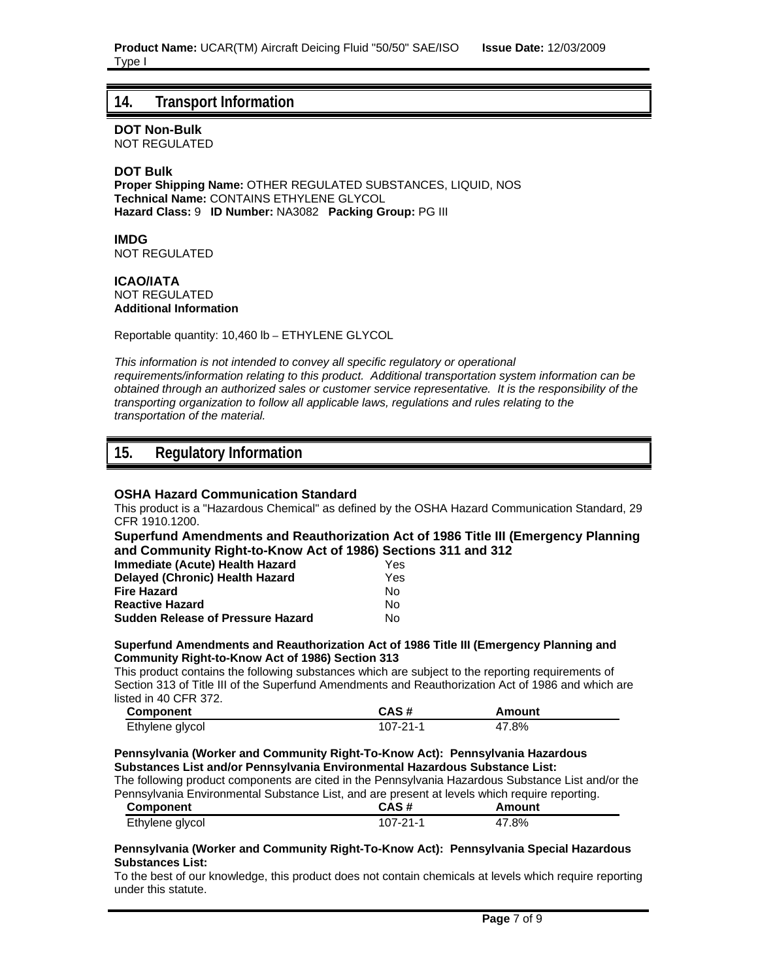### **14. Transport Information**

**DOT Non-Bulk**

NOT REGULATED

### **DOT Bulk**

**Proper Shipping Name:** OTHER REGULATED SUBSTANCES, LIQUID, NOS **Technical Name:** CONTAINS ETHYLENE GLYCOL **Hazard Class:** 9 **ID Number:** NA3082 **Packing Group:** PG III

**IMDG** NOT REGULATED

#### **ICAO/IATA** NOT REGULATED **Additional Information**

Reportable quantity: 10,460 lb – ETHYLENE GLYCOL

*This information is not intended to convey all specific regulatory or operational requirements/information relating to this product. Additional transportation system information can be obtained through an authorized sales or customer service representative. It is the responsibility of the transporting organization to follow all applicable laws, regulations and rules relating to the transportation of the material.*

# **15. Regulatory Information**

#### **OSHA Hazard Communication Standard**

This product is a "Hazardous Chemical" as defined by the OSHA Hazard Communication Standard, 29 CFR 1910.1200.

**Superfund Amendments and Reauthorization Act of 1986 Title III (Emergency Planning and Community Right-to-Know Act of 1986) Sections 311 and 312**

| Immediate (Acute) Health Hazard          | Yes |
|------------------------------------------|-----|
| <b>Delayed (Chronic) Health Hazard</b>   | Yes |
| <b>Fire Hazard</b>                       | N٥  |
| <b>Reactive Hazard</b>                   | N٥  |
| <b>Sudden Release of Pressure Hazard</b> | N٥  |

#### **Superfund Amendments and Reauthorization Act of 1986 Title III (Emergency Planning and Community Right-to-Know Act of 1986) Section 313**

This product contains the following substances which are subject to the reporting requirements of Section 313 of Title III of the Superfund Amendments and Reauthorization Act of 1986 and which are listed in 40 CFR 372.

| <b>Component</b> | CAS#     | Amount |
|------------------|----------|--------|
| Ethylene glycol  | 107-21-1 | 47.8%  |

#### **Pennsylvania (Worker and Community Right-To-Know Act): Pennsylvania Hazardous Substances List and/or Pennsylvania Environmental Hazardous Substance List:**

The following product components are cited in the Pennsylvania Hazardous Substance List and/or the Pennsylvania Environmental Substance List, and are present at levels which require reporting.

| Component       | CAS #    | Amount |  |
|-----------------|----------|--------|--|
| Ethylene glycol | 107-21-1 | 47.8%  |  |

#### **Pennsylvania (Worker and Community Right-To-Know Act): Pennsylvania Special Hazardous Substances List:**

To the best of our knowledge, this product does not contain chemicals at levels which require reporting under this statute.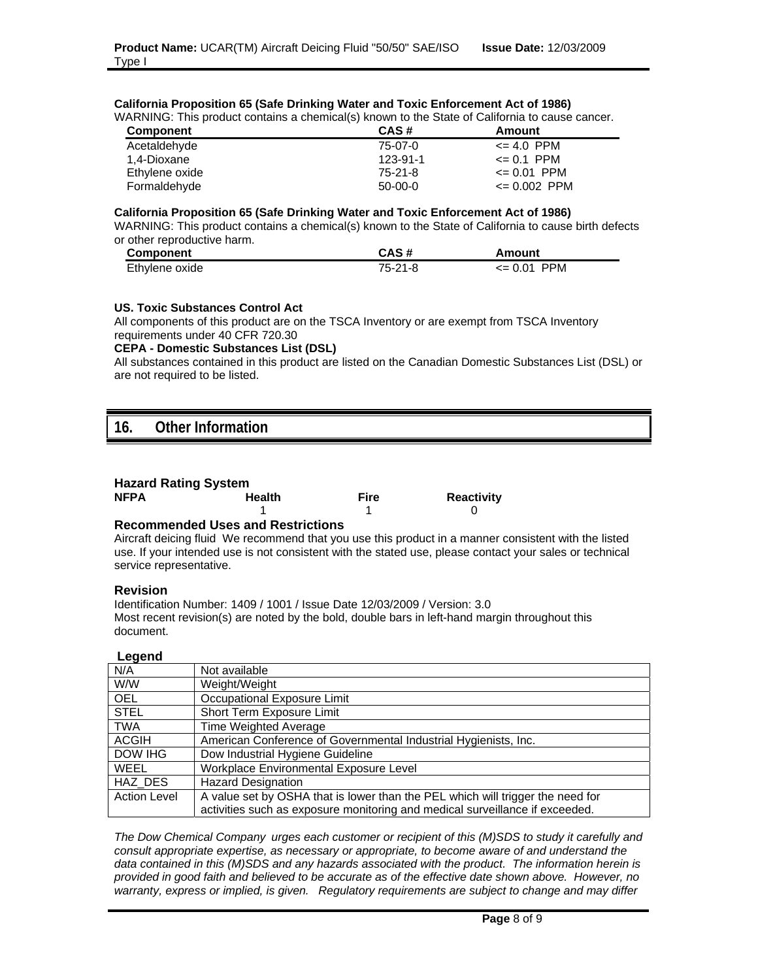|  |  |  | California Proposition 65 (Safe Drinking Water and Toxic Enforcement Act of 1986) |
|--|--|--|-----------------------------------------------------------------------------------|
|--|--|--|-----------------------------------------------------------------------------------|

| WARNING: This product contains a chemical(s) known to the State of California to cause cancer. |           |                  |
|------------------------------------------------------------------------------------------------|-----------|------------------|
| <b>Component</b>                                                                               | CAS#      | Amount           |
| Acetaldehyde                                                                                   | 75-07-0   | $\leq 4.0$ PPM   |
| 1.4-Dioxane                                                                                    | 123-91-1  | $\leq 0.1$ PPM   |
| Ethylene oxide                                                                                 | 75-21-8   | $\leq 0.01$ PPM  |
| Formaldehyde                                                                                   | $50-00-0$ | $\leq 0.002$ PPM |

#### **California Proposition 65 (Safe Drinking Water and Toxic Enforcement Act of 1986)**

WARNING: This product contains a chemical(s) known to the State of California to cause birth defects or other reproductive harm.

| <b>Component</b> | CAS #   | Amount          |
|------------------|---------|-----------------|
| Ethylene oxide   | 75-21-8 | $\leq 0.01$ PPM |

#### **US. Toxic Substances Control Act**

All components of this product are on the TSCA Inventory or are exempt from TSCA Inventory requirements under 40 CFR 720.30

#### **CEPA - Domestic Substances List (DSL)**

All substances contained in this product are listed on the Canadian Domestic Substances List (DSL) or are not required to be listed.

# **16. Other Information**

| <b>NFPA</b> | <b>Health</b>                            | Fire | <b>Reactivity</b> |
|-------------|------------------------------------------|------|-------------------|
|             |                                          |      |                   |
|             | Because and additional and Beatafatters. |      |                   |

#### **Recommended Uses and Restrictions**

Aircraft deicing fluid We recommend that you use this product in a manner consistent with the listed use. If your intended use is not consistent with the stated use, please contact your sales or technical service representative.

#### **Revision**

Identification Number: 1409 / 1001 / Issue Date 12/03/2009 / Version: 3.0 Most recent revision(s) are noted by the bold, double bars in left-hand margin throughout this document.

#### **Legend**

| -- - - - -          |                                                                                |
|---------------------|--------------------------------------------------------------------------------|
| N/A                 | Not available                                                                  |
| W/W                 | Weight/Weight                                                                  |
| <b>OEL</b>          | Occupational Exposure Limit                                                    |
| <b>STEL</b>         | Short Term Exposure Limit                                                      |
| <b>TWA</b>          | Time Weighted Average                                                          |
| <b>ACGIH</b>        | American Conference of Governmental Industrial Hygienists, Inc.                |
| DOW IHG             | Dow Industrial Hygiene Guideline                                               |
| <b>WEEL</b>         | Workplace Environmental Exposure Level                                         |
| HAZ DES             | <b>Hazard Designation</b>                                                      |
| <b>Action Level</b> | A value set by OSHA that is lower than the PEL which will trigger the need for |
|                     | activities such as exposure monitoring and medical surveillance if exceeded.   |

*The Dow Chemical Company urges each customer or recipient of this (M)SDS to study it carefully and consult appropriate expertise, as necessary or appropriate, to become aware of and understand the data contained in this (M)SDS and any hazards associated with the product. The information herein is provided in good faith and believed to be accurate as of the effective date shown above. However, no warranty, express or implied, is given. Regulatory requirements are subject to change and may differ*